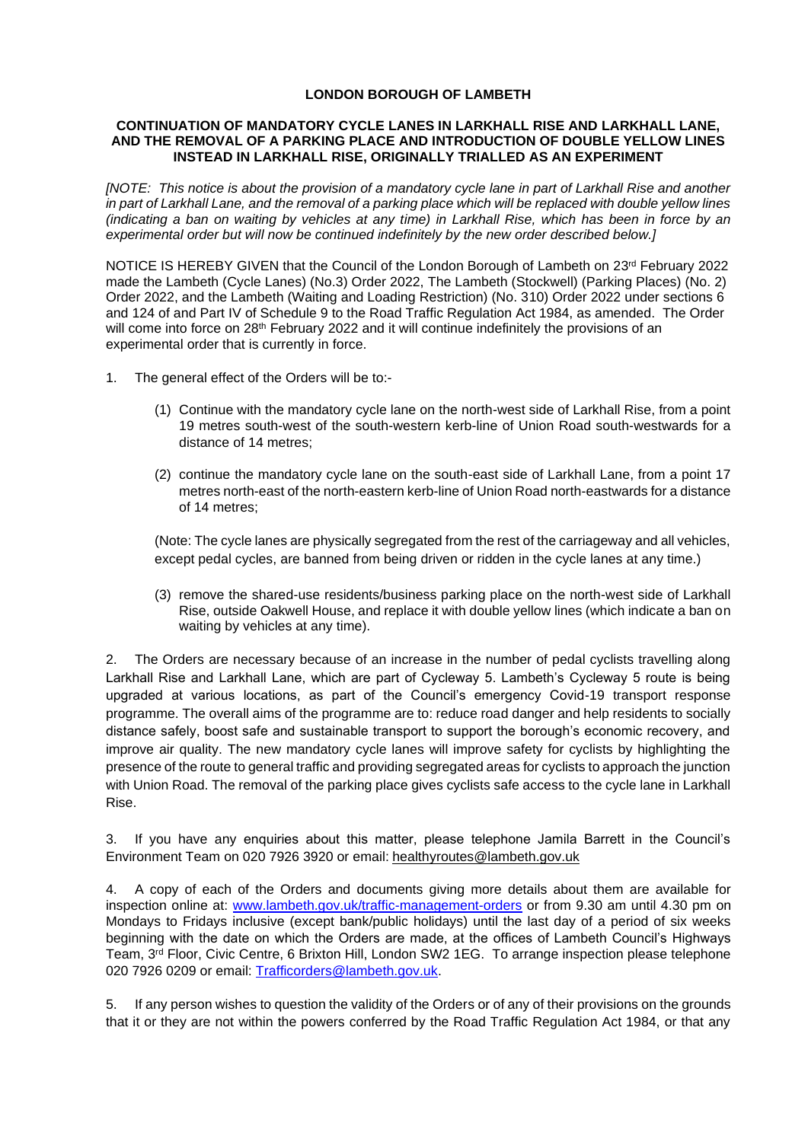## **LONDON BOROUGH OF LAMBETH**

## **CONTINUATION OF MANDATORY CYCLE LANES IN LARKHALL RISE AND LARKHALL LANE, AND THE REMOVAL OF A PARKING PLACE AND INTRODUCTION OF DOUBLE YELLOW LINES INSTEAD IN LARKHALL RISE, ORIGINALLY TRIALLED AS AN EXPERIMENT**

*[NOTE: This notice is about the provision of a mandatory cycle lane in part of Larkhall Rise and another in part of Larkhall Lane, and the removal of a parking place which will be replaced with double yellow lines (indicating a ban on waiting by vehicles at any time) in Larkhall Rise, which has been in force by an experimental order but will now be continued indefinitely by the new order described below.]*

NOTICE IS HEREBY GIVEN that the Council of the London Borough of Lambeth on 23<sup>rd</sup> February 2022 made the Lambeth (Cycle Lanes) (No.3) Order 2022, The Lambeth (Stockwell) (Parking Places) (No. 2) Order 2022, and the Lambeth (Waiting and Loading Restriction) (No. 310) Order 2022 under sections 6 and 124 of and Part IV of Schedule 9 to the Road Traffic Regulation Act 1984, as amended. The Order will come into force on 28<sup>th</sup> February 2022 and it will continue indefinitely the provisions of an experimental order that is currently in force.

- 1. The general effect of the Orders will be to:-
	- (1) Continue with the mandatory cycle lane on the north-west side of Larkhall Rise, from a point 19 metres south-west of the south-western kerb-line of Union Road south-westwards for a distance of 14 metres;
	- (2) continue the mandatory cycle lane on the south-east side of Larkhall Lane, from a point 17 metres north-east of the north-eastern kerb-line of Union Road north-eastwards for a distance of 14 metres;

(Note: The cycle lanes are physically segregated from the rest of the carriageway and all vehicles, except pedal cycles, are banned from being driven or ridden in the cycle lanes at any time.)

(3) remove the shared-use residents/business parking place on the north-west side of Larkhall Rise, outside Oakwell House, and replace it with double yellow lines (which indicate a ban on waiting by vehicles at any time).

2. The Orders are necessary because of an increase in the number of pedal cyclists travelling along Larkhall Rise and Larkhall Lane, which are part of Cycleway 5. Lambeth's Cycleway 5 route is being upgraded at various locations, as part of the Council's emergency Covid-19 transport response programme. The overall aims of the programme are to: reduce road danger and help residents to socially distance safely, boost safe and sustainable transport to support the borough's economic recovery, and improve air quality. The new mandatory cycle lanes will improve safety for cyclists by highlighting the presence of the route to general traffic and providing segregated areas for cyclists to approach the junction with Union Road. The removal of the parking place gives cyclists safe access to the cycle lane in Larkhall Rise.

3. If you have any enquiries about this matter, please telephone Jamila Barrett in the Council's Environment Team on 020 7926 3920 or email: [healthyroutes@lambeth.gov.uk](mailto:healthyroutes@lambeth.gov.uk)

4. A copy of each of the Orders and documents giving more details about them are available for inspection online at: [www.lambeth.gov.uk/traffic-management-orders](https://eur01.safelinks.protection.outlook.com/?url=http%3A%2F%2Fwww.lambeth.gov.uk%2Ftraffic-management-orders&data=04%7C01%7COlaseni.Koya%40projectcentre.co.uk%7Cd5f8781950a048ec7af708d920373c88%7C3734172ae82a4ac7a3d302949970d5e6%7C0%7C0%7C637576243876922729%7CUnknown%7CTWFpbGZsb3d8eyJWIjoiMC4wLjAwMDAiLCJQIjoiV2luMzIiLCJBTiI6Ik1haWwiLCJXVCI6Mn0%3D%7C1000&sdata=hVxBDylR23l17gzGaT54In5VIQzsdZEC%2Bk4eVUVOia8%3D&reserved=0) or from 9.30 am until 4.30 pm on Mondays to Fridays inclusive (except bank/public holidays) until the last day of a period of six weeks beginning with the date on which the Orders are made, at the offices of Lambeth Council's Highways Team, 3<sup>rd</sup> Floor, Civic Centre, 6 Brixton Hill, London SW2 1EG. To arrange inspection please telephone 020 7926 0209 or email: [Trafficorders@lambeth.gov.uk.](mailto:Trafficorders@lambeth.gov.uk)

5. If any person wishes to question the validity of the Orders or of any of their provisions on the grounds that it or they are not within the powers conferred by the Road Traffic Regulation Act 1984, or that any